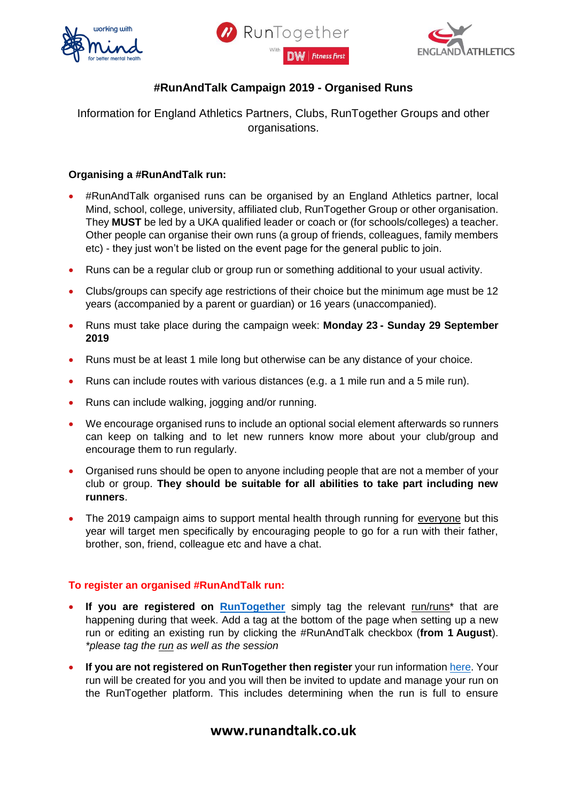





## **#RunAndTalk Campaign 2019 - Organised Runs**

Information for England Athletics Partners, Clubs, RunTogether Groups and other organisations.

#### **Organising a #RunAndTalk run:**

- #RunAndTalk organised runs can be organised by an England Athletics partner, local Mind, school, college, university, affiliated club, RunTogether Group or other organisation. They **MUST** be led by a UKA qualified leader or coach or (for schools/colleges) a teacher. Other people can organise their own runs (a group of friends, colleagues, family members etc) - they just won't be listed on the event page for the general public to join.
- Runs can be a regular club or group run or something additional to your usual activity.
- Clubs/groups can specify age restrictions of their choice but the minimum age must be 12 years (accompanied by a parent or guardian) or 16 years (unaccompanied).
- Runs must take place during the campaign week: **Monday 23 - Sunday 29 September 2019**
- Runs must be at least 1 mile long but otherwise can be any distance of your choice.
- Runs can include routes with various distances (e.g. a 1 mile run and a 5 mile run).
- Runs can include walking, jogging and/or running.
- We encourage organised runs to include an optional social element afterwards so runners can keep on talking and to let new runners know more about your club/group and encourage them to run regularly.
- Organised runs should be open to anyone including people that are not a member of your club or group. **They should be suitable for all abilities to take part including new runners**.
- The 2019 campaign aims to support mental health through running for everyone but this year will target men specifically by encouraging people to go for a run with their father, brother, son, friend, colleague etc and have a chat.

#### **To register an organised #RunAndTalk run:**

- **If you are registered on [RunTogether](https://runtogether.co.uk/)** simply tag the relevant run/runs\* that are happening during that week. Add a tag at the bottom of the page when setting up a new run or editing an existing run by clicking the #RunAndTalk checkbox (**from 1 August**). *\*please tag the run as well as the session*
- **If you are not registered on RunTogether then register** your run information [here.](https://www.surveymonkey.co.uk/r/runandtalkcampaign2019) Your run will be created for you and you will then be invited to update and manage your run on the RunTogether platform. This includes determining when the run is full to ensure

# **www.runandtalk.co.uk**